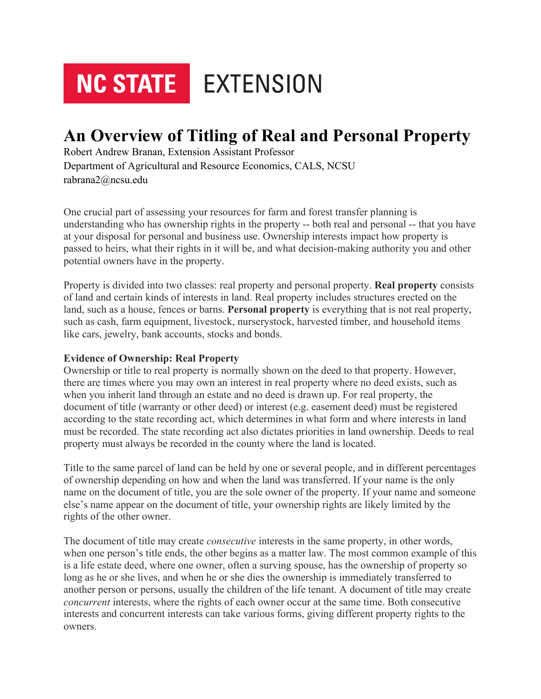# **NC STATE** EXTENSION

# **An Overview of Titling of Real and Personal Property**

Robert Andrew Branan, Extension Assistant Professor Department of Agricultural and Resource Economics, CALS, NCSU rabrana2@ncsu.edu

One crucial part of assessing your resources for farm and forest transfer planning is understanding who has ownership rights in the property -- both real and personal -- that you have at your disposal for personal and business use. Ownership interests impact how property is passed to heirs, what their rights in it will be, and what decision-making authority you and other potential owners have in the property.

Property is divided into two classes: real property and personal property. **Real property** consists of land and certain kinds of interests in land. Real property includes structures erected on the land, such as a house, fences or barns. **Personal property** is everything that is not real property, such as cash, farm equipment, livestock, nurserystock, harvested timber, and household items like cars, jewelry, bank accounts, stocks and bonds.

#### **Evidence of Ownership: Real Property**

Ownership or title to real property is normally shown on the deed to that property. However, there are times where you may own an interest in real property where no deed exists, such as when you inherit land through an estate and no deed is drawn up. For real property, the document of title (warranty or other deed) or interest (e.g. easement deed) must be registered according to the state recording act, which determines in what form and where interests in land must be recorded. The state recording act also dictates priorities in land ownership. Deeds to real property must always be recorded in the county where the land is located.

Title to the same parcel of land can be held by one or several people, and in different percentages of ownership depending on how and when the land was transferred. If your name is the only name on the document of title, you are the sole owner of the property. If your name and someone else's name appear on the document of title, your ownership rights are likely limited by the rights of the other owner.

The document of title may create *consecutive* interests in the same property, in other words, when one person's title ends, the other begins as a matter law. The most common example of this is a life estate deed, where one owner, often a surving spouse, has the ownership of property so long as he or she lives, and when he or she dies the ownership is immediately transferred to another person or persons, usually the children of the life tenant. A document of title may create *concurrent* interests, where the rights of each owner occur at the same time. Both consecutive interests and concurrent interests can take various forms, giving different property rights to the owners.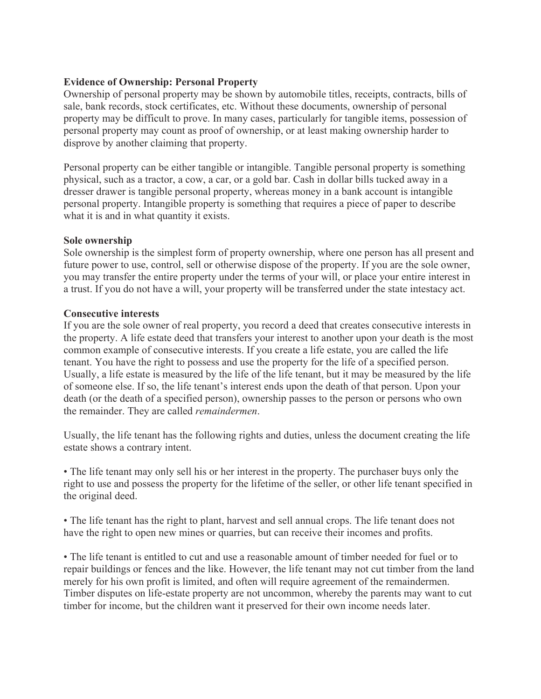# **Evidence of Ownership: Personal Property**

Ownership of personal property may be shown by automobile titles, receipts, contracts, bills of sale, bank records, stock certificates, etc. Without these documents, ownership of personal property may be difficult to prove. In many cases, particularly for tangible items, possession of personal property may count as proof of ownership, or at least making ownership harder to disprove by another claiming that property.

Personal property can be either tangible or intangible. Tangible personal property is something physical, such as a tractor, a cow, a car, or a gold bar. Cash in dollar bills tucked away in a dresser drawer is tangible personal property, whereas money in a bank account is intangible personal property. Intangible property is something that requires a piece of paper to describe what it is and in what quantity it exists.

#### **Sole ownership**

Sole ownership is the simplest form of property ownership, where one person has all present and future power to use, control, sell or otherwise dispose of the property. If you are the sole owner, you may transfer the entire property under the terms of your will, or place your entire interest in a trust. If you do not have a will, your property will be transferred under the state intestacy act.

# **Consecutive interests**

If you are the sole owner of real property, you record a deed that creates consecutive interests in the property. A life estate deed that transfers your interest to another upon your death is the most common example of consecutive interests. If you create a life estate, you are called the life tenant. You have the right to possess and use the property for the life of a specified person. Usually, a life estate is measured by the life of the life tenant, but it may be measured by the life of someone else. If so, the life tenant's interest ends upon the death of that person. Upon your death (or the death of a specified person), ownership passes to the person or persons who own the remainder. They are called *remaindermen*.

Usually, the life tenant has the following rights and duties, unless the document creating the life estate shows a contrary intent.

• The life tenant may only sell his or her interest in the property. The purchaser buys only the right to use and possess the property for the lifetime of the seller, or other life tenant specified in the original deed.

• The life tenant has the right to plant, harvest and sell annual crops. The life tenant does not have the right to open new mines or quarries, but can receive their incomes and profits.

• The life tenant is entitled to cut and use a reasonable amount of timber needed for fuel or to repair buildings or fences and the like. However, the life tenant may not cut timber from the land merely for his own profit is limited, and often will require agreement of the remaindermen. Timber disputes on life-estate property are not uncommon, whereby the parents may want to cut timber for income, but the children want it preserved for their own income needs later.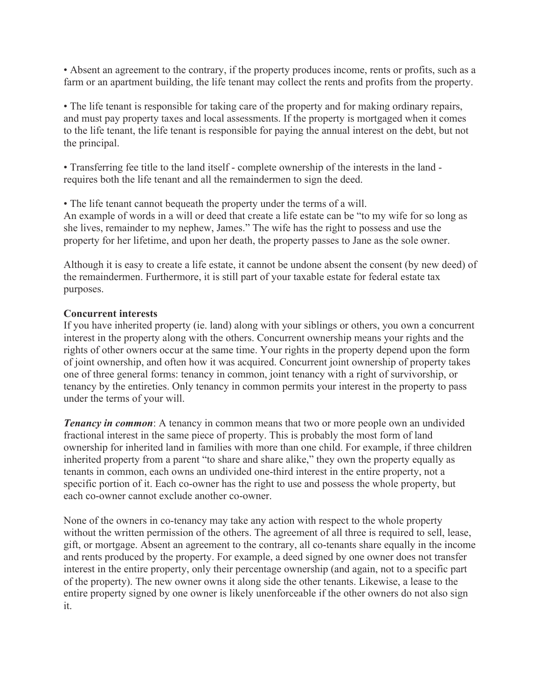• Absent an agreement to the contrary, if the property produces income, rents or profits, such as a farm or an apartment building, the life tenant may collect the rents and profits from the property.

• The life tenant is responsible for taking care of the property and for making ordinary repairs, and must pay property taxes and local assessments. If the property is mortgaged when it comes to the life tenant, the life tenant is responsible for paying the annual interest on the debt, but not the principal.

• Transferring fee title to the land itself - complete ownership of the interests in the land requires both the life tenant and all the remaindermen to sign the deed.

• The life tenant cannot bequeath the property under the terms of a will.

An example of words in a will or deed that create a life estate can be "to my wife for so long as she lives, remainder to my nephew, James." The wife has the right to possess and use the property for her lifetime, and upon her death, the property passes to Jane as the sole owner.

Although it is easy to create a life estate, it cannot be undone absent the consent (by new deed) of the remaindermen. Furthermore, it is still part of your taxable estate for federal estate tax purposes.

# **Concurrent interests**

If you have inherited property (ie. land) along with your siblings or others, you own a concurrent interest in the property along with the others. Concurrent ownership means your rights and the rights of other owners occur at the same time. Your rights in the property depend upon the form of joint ownership, and often how it was acquired. Concurrent joint ownership of property takes one of three general forms: tenancy in common, joint tenancy with a right of survivorship, or tenancy by the entireties. Only tenancy in common permits your interest in the property to pass under the terms of your will.

*Tenancy in common*: A tenancy in common means that two or more people own an undivided fractional interest in the same piece of property. This is probably the most form of land ownership for inherited land in families with more than one child. For example, if three children inherited property from a parent "to share and share alike," they own the property equally as tenants in common, each owns an undivided one-third interest in the entire property, not a specific portion of it. Each co-owner has the right to use and possess the whole property, but each co-owner cannot exclude another co-owner.

None of the owners in co-tenancy may take any action with respect to the whole property without the written permission of the others. The agreement of all three is required to sell, lease, gift, or mortgage. Absent an agreement to the contrary, all co-tenants share equally in the income and rents produced by the property. For example, a deed signed by one owner does not transfer interest in the entire property, only their percentage ownership (and again, not to a specific part of the property). The new owner owns it along side the other tenants. Likewise, a lease to the entire property signed by one owner is likely unenforceable if the other owners do not also sign it.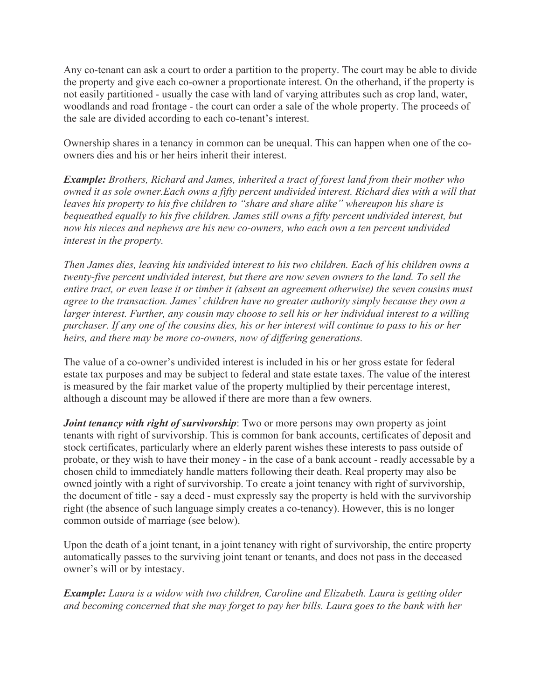Any co-tenant can ask a court to order a partition to the property. The court may be able to divide the property and give each co-owner a proportionate interest. On the otherhand, if the property is not easily partitioned - usually the case with land of varying attributes such as crop land, water, woodlands and road frontage - the court can order a sale of the whole property. The proceeds of the sale are divided according to each co-tenant's interest.

Ownership shares in a tenancy in common can be unequal. This can happen when one of the coowners dies and his or her heirs inherit their interest.

*Example: Brothers, Richard and James, inherited a tract of forest land from their mother who owned it as sole owner.Each owns a fifty percent undivided interest. Richard dies with a will that leaves his property to his five children to "share and share alike" whereupon his share is bequeathed equally to his five children. James still owns a fifty percent undivided interest, but now his nieces and nephews are his new co-owners, who each own a ten percent undivided interest in the property.*

*Then James dies, leaving his undivided interest to his two children. Each of his children owns a twenty-five percent undivided interest, but there are now seven owners to the land. To sell the entire tract, or even lease it or timber it (absent an agreement otherwise) the seven cousins must agree to the transaction. James' children have no greater authority simply because they own a larger interest. Further, any cousin may choose to sell his or her individual interest to a willing purchaser. If any one of the cousins dies, his or her interest will continue to pass to his or her heirs, and there may be more co-owners, now of differing generations.*

The value of a co-owner's undivided interest is included in his or her gross estate for federal estate tax purposes and may be subject to federal and state estate taxes. The value of the interest is measured by the fair market value of the property multiplied by their percentage interest, although a discount may be allowed if there are more than a few owners.

*Joint tenancy with right of survivorship*: Two or more persons may own property as joint tenants with right of survivorship. This is common for bank accounts, certificates of deposit and stock certificates, particularly where an elderly parent wishes these interests to pass outside of probate, or they wish to have their money - in the case of a bank account - readly accessable by a chosen child to immediately handle matters following their death. Real property may also be owned jointly with a right of survivorship. To create a joint tenancy with right of survivorship, the document of title - say a deed - must expressly say the property is held with the survivorship right (the absence of such language simply creates a co-tenancy). However, this is no longer common outside of marriage (see below).

Upon the death of a joint tenant, in a joint tenancy with right of survivorship, the entire property automatically passes to the surviving joint tenant or tenants, and does not pass in the deceased owner's will or by intestacy.

*Example: Laura is a widow with two children, Caroline and Elizabeth. Laura is getting older and becoming concerned that she may forget to pay her bills. Laura goes to the bank with her*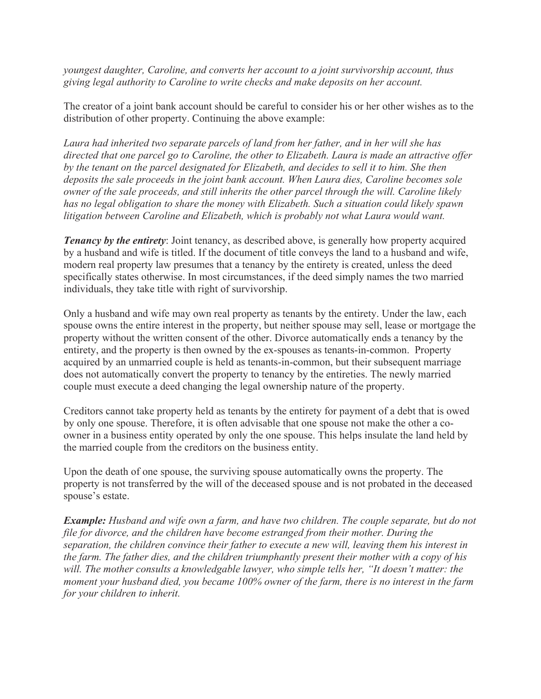*youngest daughter, Caroline, and converts her account to a joint survivorship account, thus giving legal authority to Caroline to write checks and make deposits on her account.*

The creator of a joint bank account should be careful to consider his or her other wishes as to the distribution of other property. Continuing the above example:

*Laura had inherited two separate parcels of land from her father, and in her will she has directed that one parcel go to Caroline, the other to Elizabeth. Laura is made an attractive offer by the tenant on the parcel designated for Elizabeth, and decides to sell it to him. She then deposits the sale proceeds in the joint bank account. When Laura dies, Caroline becomes sole owner of the sale proceeds, and still inherits the other parcel through the will. Caroline likely has no legal obligation to share the money with Elizabeth. Such a situation could likely spawn litigation between Caroline and Elizabeth, which is probably not what Laura would want.*

*Tenancy by the entirety:* Joint tenancy, as described above, is generally how property acquired by a husband and wife is titled. If the document of title conveys the land to a husband and wife, modern real property law presumes that a tenancy by the entirety is created, unless the deed specifically states otherwise. In most circumstances, if the deed simply names the two married individuals, they take title with right of survivorship.

Only a husband and wife may own real property as tenants by the entirety. Under the law, each spouse owns the entire interest in the property, but neither spouse may sell, lease or mortgage the property without the written consent of the other. Divorce automatically ends a tenancy by the entirety, and the property is then owned by the ex-spouses as tenants-in-common. Property acquired by an unmarried couple is held as tenants-in-common, but their subsequent marriage does not automatically convert the property to tenancy by the entireties. The newly married couple must execute a deed changing the legal ownership nature of the property.

Creditors cannot take property held as tenants by the entirety for payment of a debt that is owed by only one spouse. Therefore, it is often advisable that one spouse not make the other a coowner in a business entity operated by only the one spouse. This helps insulate the land held by the married couple from the creditors on the business entity.

Upon the death of one spouse, the surviving spouse automatically owns the property. The property is not transferred by the will of the deceased spouse and is not probated in the deceased spouse's estate.

*Example: Husband and wife own a farm, and have two children. The couple separate, but do not file for divorce, and the children have become estranged from their mother. During the separation, the children convince their father to execute a new will, leaving them his interest in the farm. The father dies, and the children triumphantly present their mother with a copy of his will. The mother consults a knowledgable lawyer, who simple tells her, "It doesn't matter: the moment your husband died, you became 100% owner of the farm, there is no interest in the farm for your children to inherit.*